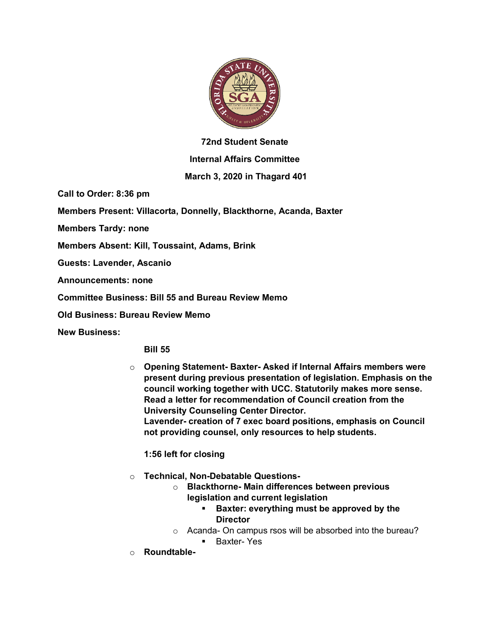

## **72nd Student Senate**

## **Internal Affairs Committee**

## **March 3, 2020 in Thagard 401**

**Call to Order: 8:36 pm**

**Members Present: Villacorta, Donnelly, Blackthorne, Acanda, Baxter**

**Members Tardy: none**

**Members Absent: Kill, Toussaint, Adams, Brink**

**Guests: Lavender, Ascanio**

**Announcements: none**

**Committee Business: Bill 55 and Bureau Review Memo**

**Old Business: Bureau Review Memo**

**New Business:**

**Bill 55**

o **Opening Statement- Baxter- Asked if Internal Affairs members were present during previous presentation of legislation. Emphasis on the council working together with UCC. Statutorily makes more sense. Read a letter for recommendation of Council creation from the University Counseling Center Director. Lavender- creation of 7 exec board positions, emphasis on Council not providing counsel, only resources to help students.**

**1:56 left for closing**

- o **Technical, Non-Debatable Questions**
	- o **Blackthorne- Main differences between previous legislation and current legislation**
		- § **Baxter: everything must be approved by the Director**
	- o Acanda- On campus rsos will be absorbed into the bureau?
		- Baxter- Yes
- o **Roundtable-**